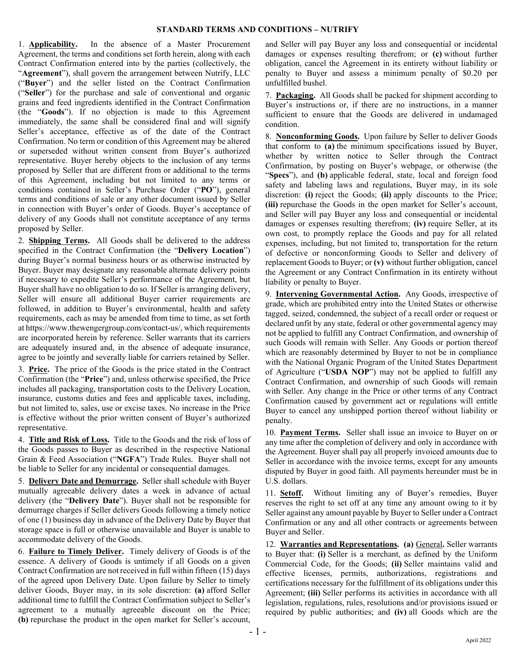## **STANDARD TERMS AND CONDITIONS – NUTRIFY**

1. **Applicability.** In the absence of a Master Procurement Agreement, the terms and conditions set forth herein, along with each Contract Confirmation entered into by the parties (collectively, the "**Agreement**"), shall govern the arrangement between Nutrify, LLC ("**Buyer**") and the seller listed on the Contract Confirmation ("**Seller**") for the purchase and sale of conventional and organic grains and feed ingredients identified in the Contract Confirmation (the "**Goods**"). If no objection is made to this Agreement immediately, the same shall be considered final and will signify Seller's acceptance, effective as of the date of the Contract Confirmation. No term or condition of this Agreement may be altered or superseded without written consent from Buyer's authorized representative. Buyer hereby objects to the inclusion of any terms proposed by Seller that are different from or additional to the terms of this Agreement, including but not limited to any terms or conditions contained in Seller's Purchase Order ("**PO**"), general terms and conditions of sale or any other document issued by Seller in connection with Buyer's order of Goods. Buyer's acceptance of delivery of any Goods shall not constitute acceptance of any terms proposed by Seller.

2. **Shipping Terms.** All Goods shall be delivered to the address specified in the Contract Confirmation (the "**Delivery Location**") during Buyer's normal business hours or as otherwise instructed by Buyer. Buyer may designate any reasonable alternate delivery points if necessary to expedite Seller's performance of the Agreement, but Buyer shall have no obligation to do so. If Seller is arranging delivery, Seller will ensure all additional Buyer carrier requirements are followed, in addition to Buyer's environmental, health and safety requirements, each as may be amended from time to time, as set forth at https://www.thewengergroup.com/contact-us/, which requirements are incorporated herein by reference. Seller warrants that its carriers are adequately insured and, in the absence of adequate insurance, agree to be jointly and severally liable for carriers retained by Seller.

3. **Price.** The price of the Goods is the price stated in the Contract Confirmation (the "**Price**") and, unless otherwise specified, the Price includes all packaging, transportation costs to the Delivery Location, insurance, customs duties and fees and applicable taxes, including, but not limited to, sales, use or excise taxes. No increase in the Price is effective without the prior written consent of Buyer's authorized representative.

4. **Title and Risk of Loss.** Title to the Goods and the risk of loss of the Goods passes to Buyer as described in the respective National Grain & Feed Association ("**NGFA**") Trade Rules. Buyer shall not be liable to Seller for any incidental or consequential damages.

5. **Delivery Date and Demurrage.** Seller shall schedule with Buyer mutually agreeable delivery dates a week in advance of actual delivery (the "**Delivery Date**"). Buyer shall not be responsible for demurrage charges if Seller delivers Goods following a timely notice of one (1) business day in advance of the Delivery Date by Buyer that storage space is full or otherwise unavailable and Buyer is unable to accommodate delivery of the Goods.

6. **Failure to Timely Deliver.** Timely delivery of Goods is of the essence. A delivery of Goods is untimely if all Goods on a given Contract Confirmation are not received in full within fifteen (15) days of the agreed upon Delivery Date. Upon failure by Seller to timely deliver Goods, Buyer may, in its sole discretion: **(a)** afford Seller additional time to fulfill the Contract Confirmation subject to Seller's agreement to a mutually agreeable discount on the Price; **(b)** repurchase the product in the open market for Seller's account,

and Seller will pay Buyer any loss and consequential or incidental damages or expenses resulting therefrom; or **(c)** without further obligation, cancel the Agreement in its entirety without liability or penalty to Buyer and assess a minimum penalty of \$0.20 per unfulfilled bushel.

7. **Packaging.** All Goods shall be packed for shipment according to Buyer's instructions or, if there are no instructions, in a manner sufficient to ensure that the Goods are delivered in undamaged condition.

8. **Nonconforming Goods.** Upon failure by Seller to deliver Goods that conform to **(a)** the minimum specifications issued by Buyer, whether by written notice to Seller through the Contract Confirmation, by posting on Buyer's webpage, or otherwise (the "**Specs**"), and **(b)** applicable federal, state, local and foreign food safety and labeling laws and regulations, Buyer may, in its sole discretion: **(i)** reject the Goods; **(ii)** apply discounts to the Price; **(iii)** repurchase the Goods in the open market for Seller's account, and Seller will pay Buyer any loss and consequential or incidental damages or expenses resulting therefrom; **(iv)** require Seller, at its own cost, to promptly replace the Goods and pay for all related expenses, including, but not limited to, transportation for the return of defective or nonconforming Goods to Seller and delivery of replacement Goods to Buyer; or **(v)** without further obligation, cancel the Agreement or any Contract Confirmation in its entirety without liability or penalty to Buyer.

9. **Intervening Governmental Action.** Any Goods, irrespective of grade, which are prohibited entry into the United States or otherwise tagged, seized, condemned, the subject of a recall order or request or declared unfit by any state, federal or other governmental agency may not be applied to fulfill any Contract Confirmation, and ownership of such Goods will remain with Seller. Any Goods or portion thereof which are reasonably determined by Buyer to not be in compliance with the National Organic Program of the United States Department of Agriculture ("**USDA NOP**") may not be applied to fulfill any Contract Confirmation, and ownership of such Goods will remain with Seller. Any change in the Price or other terms of any Contract Confirmation caused by government act or regulations will entitle Buyer to cancel any unshipped portion thereof without liability or penalty.

10. **Payment Terms.** Seller shall issue an invoice to Buyer on or any time after the completion of delivery and only in accordance with the Agreement. Buyer shall pay all properly invoiced amounts due to Seller in accordance with the invoice terms, except for any amounts disputed by Buyer in good faith. All payments hereunder must be in U.S. dollars.

11. **Setoff.** Without limiting any of Buyer's remedies, Buyer reserves the right to set off at any time any amount owing to it by Seller against any amount payable by Buyer to Seller under a Contract Confirmation or any and all other contracts or agreements between Buyer and Seller.

12. **Warranties and Representations. (a)** General**.** Seller warrants to Buyer that: **(i)** Seller is a merchant, as defined by the Uniform Commercial Code, for the Goods; **(ii)** Seller maintains valid and effective licenses, permits, authorizations, registrations and certifications necessary for the fulfillment of its obligations under this Agreement; **(iii)** Seller performs its activities in accordance with all legislation, regulations, rules, resolutions and/or provisions issued or required by public authorities; and **(iv)** all Goods which are the